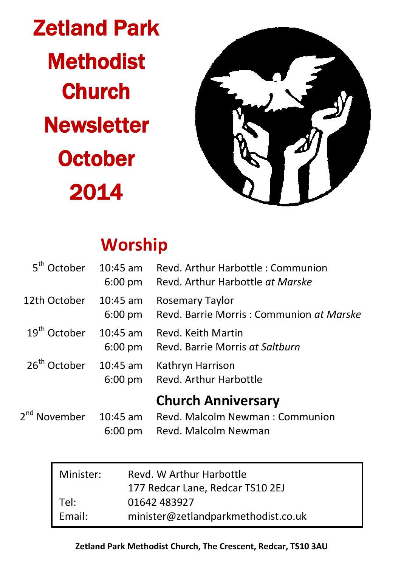Zetland Park **Methodist Church Newsletter October** 2014



# **Worship**

| 5 <sup>th</sup> October  | $10:45$ am<br>$6:00 \text{ pm}$ | Revd. Arthur Harbottle: Communion<br>Revd. Arthur Harbottle at Marske |  |
|--------------------------|---------------------------------|-----------------------------------------------------------------------|--|
| 12th October             | $10:45$ am<br>$6:00 \text{ pm}$ | Rosemary Taylor<br>Revd. Barrie Morris: Communion at Marske           |  |
| 19 <sup>th</sup> October | $10:45$ am<br>$6:00 \text{ pm}$ | Revd. Keith Martin<br>Revd. Barrie Morris at Saltburn                 |  |
| 26 <sup>th</sup> October | $10:45$ am<br>$6:00$ pm         | Kathryn Harrison<br>Revd. Arthur Harbottle                            |  |
|                          |                                 | <b>Church Anniversary</b>                                             |  |
| 2 <sup>nd</sup> November | $10:45$ am<br>$6:00$ pm         | Revd. Malcolm Newman: Communion<br>Revd. Malcolm Newman               |  |

| Minister: | Revd. W Arthur Harbottle<br>177 Redcar Lane, Redcar TS10 2EJ |  |
|-----------|--------------------------------------------------------------|--|
| Tel:      | 01642 483927                                                 |  |
| Email:    | minister@zetlandparkmethodist.co.uk                          |  |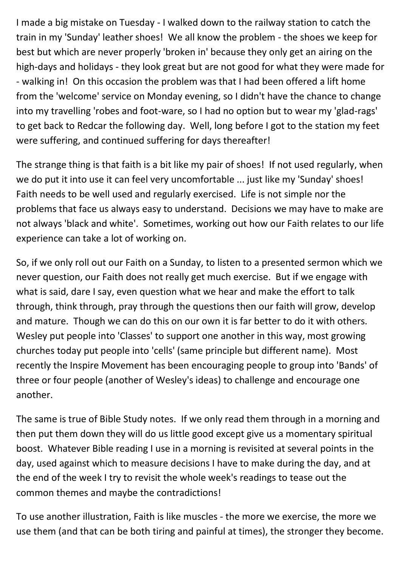I made a big mistake on Tuesday - I walked down to the railway station to catch the train in my 'Sunday' leather shoes! We all know the problem - the shoes we keep for best but which are never properly 'broken in' because they only get an airing on the high-days and holidays - they look great but are not good for what they were made for - walking in! On this occasion the problem was that I had been offered a lift home from the 'welcome' service on Monday evening, so I didn't have the chance to change into my travelling 'robes and foot-ware, so I had no option but to wear my 'glad-rags' to get back to Redcar the following day. Well, long before I got to the station my feet were suffering, and continued suffering for days thereafter!

The strange thing is that faith is a bit like my pair of shoes! If not used regularly, when we do put it into use it can feel very uncomfortable ... just like my 'Sunday' shoes! Faith needs to be well used and regularly exercised. Life is not simple nor the problems that face us always easy to understand. Decisions we may have to make are not always 'black and white'. Sometimes, working out how our Faith relates to our life experience can take a lot of working on.

So, if we only roll out our Faith on a Sunday, to listen to a presented sermon which we never question, our Faith does not really get much exercise. But if we engage with what is said, dare I say, even question what we hear and make the effort to talk through, think through, pray through the questions then our faith will grow, develop and mature. Though we can do this on our own it is far better to do it with others. Wesley put people into 'Classes' to support one another in this way, most growing churches today put people into 'cells' (same principle but different name). Most recently the Inspire Movement has been encouraging people to group into 'Bands' of three or four people (another of Wesley's ideas) to challenge and encourage one another.

The same is true of Bible Study notes. If we only read them through in a morning and then put them down they will do us little good except give us a momentary spiritual boost. Whatever Bible reading I use in a morning is revisited at several points in the day, used against which to measure decisions I have to make during the day, and at the end of the week I try to revisit the whole week's readings to tease out the common themes and maybe the contradictions!

To use another illustration, Faith is like muscles - the more we exercise, the more we use them (and that can be both tiring and painful at times), the stronger they become.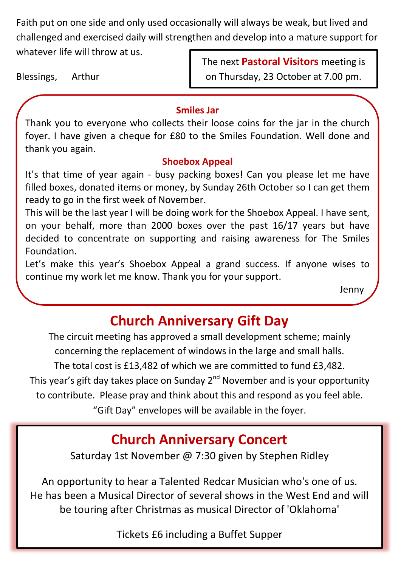Faith put on one side and only used occasionally will always be weak, but lived and challenged and exercised daily will strengthen and develop into a mature support for whatever life will throw at us.

Blessings, Arthur

The next **Pastoral Visitors** meeting is on Thursday, 23 October at 7.00 pm.

### **Smiles Jar**

Thank you to everyone who collects their loose coins for the jar in the church foyer. I have given a cheque for £80 to the Smiles Foundation. Well done and thank you again.

### **Shoebox Appeal**

It's that time of year again - busy packing boxes! Can you please let me have filled boxes, donated items or money, by Sunday 26th October so I can get them ready to go in the first week of November.

This will be the last year I will be doing work for the Shoebox Appeal. I have sent, on your behalf, more than 2000 boxes over the past 16/17 years but have decided to concentrate on supporting and raising awareness for The Smiles Foundation.

Let's make this year's Shoebox Appeal a grand success. If anyone wises to continue my work let me know. Thank you for your support.

Jenny

## **Church Anniversary Gift Day**

The circuit meeting has approved a small development scheme; mainly concerning the replacement of windows in the large and small halls.

The total cost is £13,482 of which we are committed to fund £3,482.

This year's gift day takes place on Sunday  $2^{nd}$  November and is your opportunity

to contribute. Please pray and think about this and respond as you feel able.

"Gift Day" envelopes will be available in the foyer.

### **Church Anniversary Concert**

Saturday 1st November @ 7:30 given by Stephen Ridley

An opportunity to hear a Talented Redcar Musician who's one of us. He has been a Musical Director of several shows in the West End and will be touring after Christmas as musical Director of 'Oklahoma'

Tickets £6 including a Buffet Supper